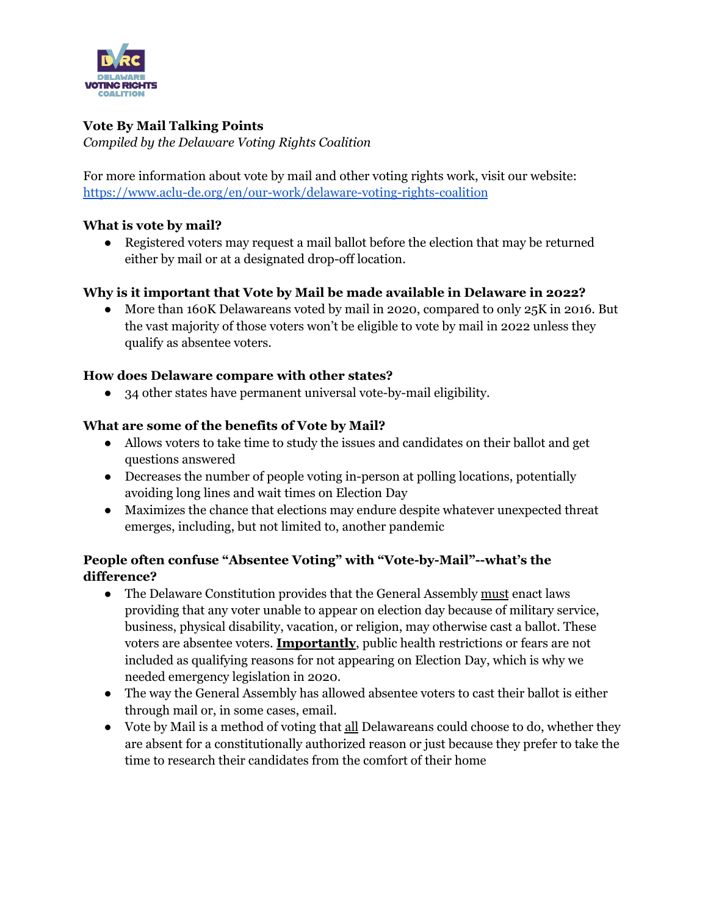

# **Vote By Mail Talking Points**

*Compiled by the Delaware Voting Rights Coalition*

For more information about vote by mail and other voting rights work, visit our website: <https://www.aclu-de.org/en/our-work/delaware-voting-rights-coalition>

## **What is vote by mail?**

• Registered voters may request a mail ballot before the election that may be returned either by mail or at a designated drop-off location.

## **Why is it important that Vote by Mail be made available in Delaware in 2022?**

• More than 160K Delawareans voted by mail in 2020, compared to only 25K in 2016. But the vast majority of those voters won't be eligible to vote by mail in 2022 unless they qualify as absentee voters.

## **How does Delaware compare with other states?**

● 34 other states have permanent universal vote-by-mail eligibility.

## **What are some of the benefits of Vote by Mail?**

- Allows voters to take time to study the issues and candidates on their ballot and get questions answered
- Decreases the number of people voting in-person at polling locations, potentially avoiding long lines and wait times on Election Day
- Maximizes the chance that elections may endure despite whatever unexpected threat emerges, including, but not limited to, another pandemic

# **People often confuse "Absentee Voting" with "Vote-by-Mail"--what's the difference?**

- The Delaware Constitution provides that the General Assembly must enact laws providing that any voter unable to appear on election day because of military service, business, physical disability, vacation, or religion, may otherwise cast a ballot. These voters are absentee voters. **Importantly**, public health restrictions or fears are not included as qualifying reasons for not appearing on Election Day, which is why we needed emergency legislation in 2020.
- The way the General Assembly has allowed absentee voters to cast their ballot is either through mail or, in some cases, email.
- Vote by Mail is a method of voting that all Delawareans could choose to do, whether they are absent for a constitutionally authorized reason or just because they prefer to take the time to research their candidates from the comfort of their home